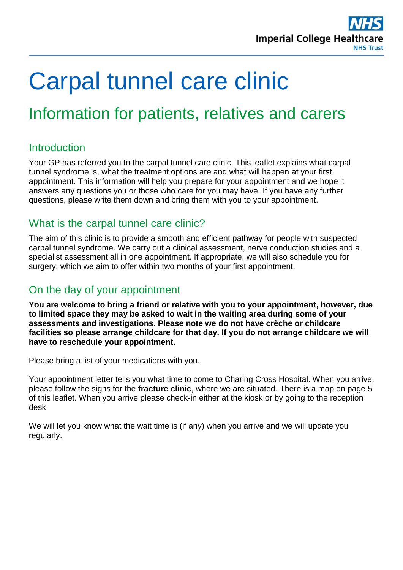

# Carpal tunnel care clinic

## Information for patients, relatives and carers

## **Introduction**

Your GP has referred you to the carpal tunnel care clinic. This leaflet explains what carpal tunnel syndrome is, what the treatment options are and what will happen at your first appointment. This information will help you prepare for your appointment and we hope it answers any questions you or those who care for you may have. If you have any further questions, please write them down and bring them with you to your appointment.

## What is the carpal tunnel care clinic?

The aim of this clinic is to provide a smooth and efficient pathway for people with suspected carpal tunnel syndrome. We carry out a clinical assessment, nerve conduction studies and a specialist assessment all in one appointment. If appropriate, we will also schedule you for surgery, which we aim to offer within two months of your first appointment.

## On the day of your appointment

**You are welcome to bring a friend or relative with you to your appointment, however, due to limited space they may be asked to wait in the waiting area during some of your assessments and investigations. Please note we do not have crèche or childcare facilities so please arrange childcare for that day. If you do not arrange childcare we will have to reschedule your appointment.**

Please bring a list of your medications with you.

Your appointment letter tells you what time to come to Charing Cross Hospital. When you arrive, please follow the signs for the **fracture clinic**, where we are situated. There is a map on page 5 of this leaflet. When you arrive please check-in either at the kiosk or by going to the reception desk.

We will let you know what the wait time is (if any) when you arrive and we will update you regularly.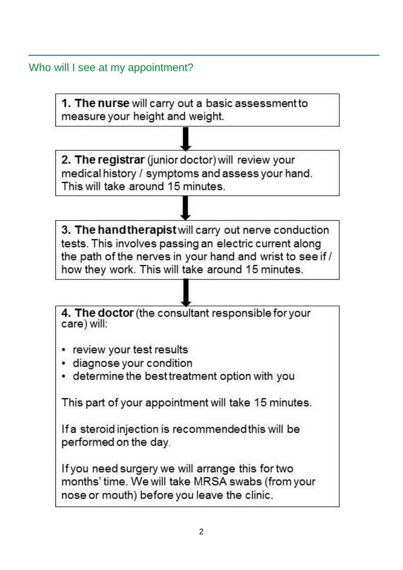Who will I see at my appointment?

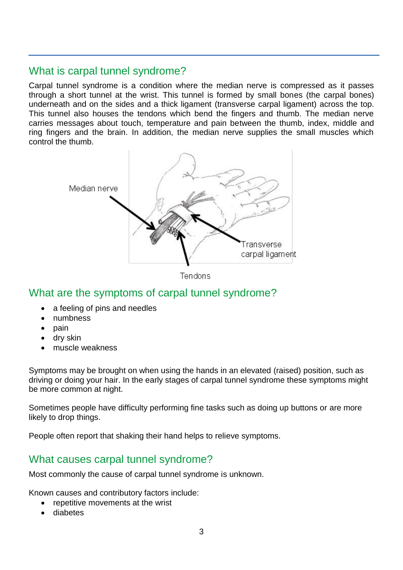## What is carpal tunnel syndrome?

Carpal tunnel syndrome is a condition where the median nerve is compressed as it passes through a short tunnel at the wrist. This tunnel is formed by small bones (the carpal bones) underneath and on the sides and a thick ligament (transverse carpal ligament) across the top. This tunnel also houses the tendons which bend the fingers and thumb. The median nerve carries messages about touch, temperature and pain between the thumb, index, middle and ring fingers and the brain. In addition, the median nerve supplies the small muscles which control the thumb.



![](_page_2_Figure_3.jpeg)

## What are the symptoms of carpal tunnel syndrome?

- a feeling of pins and needles
- numbness
- $\bullet$  pain
- dry skin
- muscle weakness

Symptoms may be brought on when using the hands in an elevated (raised) position, such as driving or doing your hair. In the early stages of carpal tunnel syndrome these symptoms might be more common at night.

Sometimes people have difficulty performing fine tasks such as doing up buttons or are more likely to drop things.

People often report that shaking their hand helps to relieve symptoms.

## What causes carpal tunnel syndrome?

Most commonly the cause of carpal tunnel syndrome is unknown.

Known causes and contributory factors include:

- repetitive movements at the wrist
- diabetes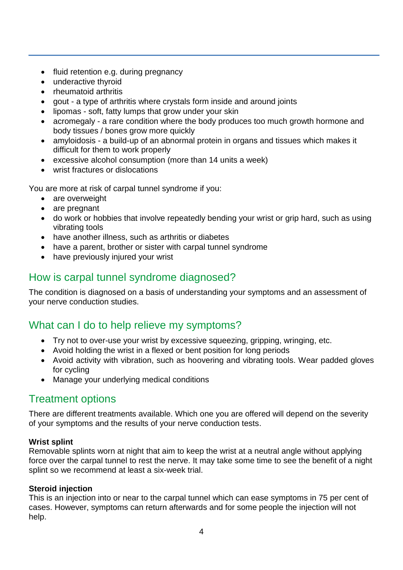- fluid retention e.g. during pregnancy
- underactive thyroid
- rheumatoid arthritis
- gout a type of arthritis where crystals form inside and around joints
- lipomas soft, fatty lumps that grow under your skin
- acromegaly a rare condition where the body produces too much growth hormone and body tissues / bones grow more quickly
- amyloidosis a build-up of an abnormal protein in organs and tissues which makes it difficult for them to work properly
- excessive alcohol consumption (more than 14 units a week)
- wrist fractures or dislocations

You are more at risk of carpal tunnel syndrome if you:

- are overweight
- are pregnant
- do work or hobbies that involve repeatedly bending your wrist or grip hard, such as using vibrating tools
- have another illness, such as arthritis or diabetes
- have a parent, brother or sister with carpal tunnel syndrome
- have previously injured your wrist

## How is carpal tunnel syndrome diagnosed?

The condition is diagnosed on a basis of understanding your symptoms and an assessment of your nerve conduction studies.

## What can I do to help relieve my symptoms?

- Try not to over-use your wrist by excessive squeezing, gripping, wringing, etc.
- Avoid holding the wrist in a flexed or bent position for long periods
- Avoid activity with vibration, such as hoovering and vibrating tools. Wear padded gloves for cycling
- Manage your underlying medical conditions

## Treatment options

There are different treatments available. Which one you are offered will depend on the severity of your symptoms and the results of your nerve conduction tests.

#### **Wrist splint**

Removable splints worn at night that aim to keep the wrist at a neutral angle without applying force over the carpal tunnel to rest the nerve. It may take some time to see the benefit of a night splint so we recommend at least a six-week trial.

#### **Steroid injection**

This is an injection into or near to the carpal tunnel which can ease symptoms in 75 per cent of cases. However, symptoms can return afterwards and for some people the injection will not help.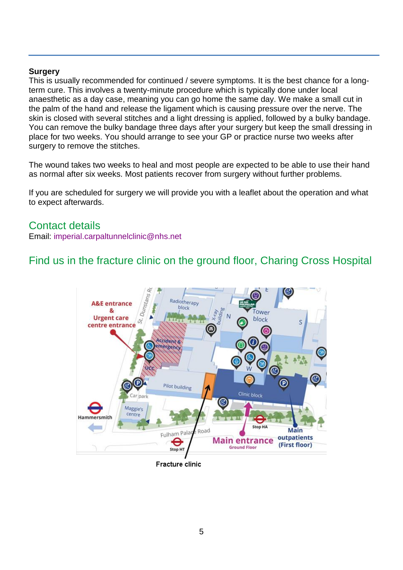#### **Surgery**

This is usually recommended for continued / severe symptoms. It is the best chance for a longterm cure. This involves a twenty-minute procedure which is typically done under local anaesthetic as a day case, meaning you can go home the same day. We make a small cut in the palm of the hand and release the ligament which is causing pressure over the nerve. The skin is closed with several stitches and a light dressing is applied, followed by a bulky bandage. You can remove the bulky bandage three days after your surgery but keep the small dressing in place for two weeks. You should arrange to see your GP or practice nurse two weeks after surgery to remove the stitches.

The wound takes two weeks to heal and most people are expected to be able to use their hand as normal after six weeks. Most patients recover from surgery without further problems.

If you are scheduled for surgery we will provide you with a leaflet about the operation and what to expect afterwards.

#### Contact details

Email: [imperial.carpaltunnelclinic@nhs.net](mailto:imperial.carpaltunnelclinic@nhs.net)

## Find us in the fracture clinic on the ground floor, Charing Cross Hospital

![](_page_4_Figure_7.jpeg)

**Fracture clinic**